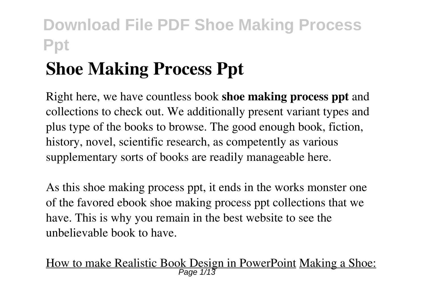# **Shoe Making Process Ppt**

Right here, we have countless book **shoe making process ppt** and collections to check out. We additionally present variant types and plus type of the books to browse. The good enough book, fiction, history, novel, scientific research, as competently as various supplementary sorts of books are readily manageable here.

As this shoe making process ppt, it ends in the works monster one of the favored ebook shoe making process ppt collections that we have. This is why you remain in the best website to see the unbelievable book to have.

How to make Realistic Book Design in PowerPoint Making a Shoe: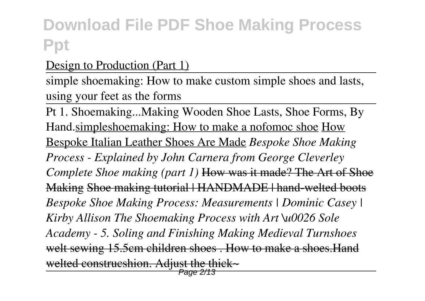### Design to Production (Part 1)

simple shoemaking: How to make custom simple shoes and lasts, using your feet as the forms

Pt 1. Shoemaking...Making Wooden Shoe Lasts, Shoe Forms, By Hand.simpleshoemaking: How to make a nofomoc shoe How Bespoke Italian Leather Shoes Are Made *Bespoke Shoe Making Process - Explained by John Carnera from George Cleverley Complete Shoe making (part 1)* How was it made? The Art of Shoe Making Shoe making tutorial | HANDMADE | hand-welted boots *Bespoke Shoe Making Process: Measurements | Dominic Casey | Kirby Allison The Shoemaking Process with Art \u0026 Sole Academy - 5. Soling and Finishing Making Medieval Turnshoes* welt sewing 15.5cm children shoes . How to make a shoes.Hand welted construcshion. Adjust the thick~ Page 2/13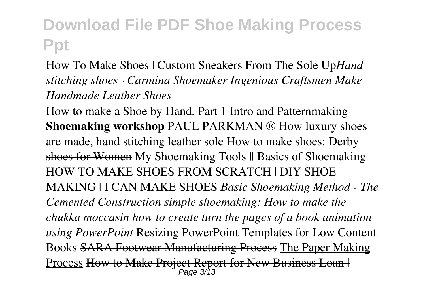How To Make Shoes | Custom Sneakers From The Sole Up*Hand stitching shoes · Carmina Shoemaker Ingenious Craftsmen Make Handmade Leather Shoes*

How to make a Shoe by Hand, Part 1 Intro and Patternmaking **Shoemaking workshop** PAUL PARKMAN ® How luxury shoes are made, hand stitching leather sole How to make shoes: Derby shoes for Women My Shoemaking Tools  $\parallel$  Basics of Shoemaking HOW TO MAKE SHOES FROM SCRATCH | DIY SHOE MAKING | I CAN MAKE SHOES *Basic Shoemaking Method - The Cemented Construction simple shoemaking: How to make the chukka moccasin how to create turn the pages of a book animation using PowerPoint* Resizing PowerPoint Templates for Low Content Books SARA Footwear Manufacturing Process The Paper Making Process How to Make Project Report for New Business Loan | Page 3/13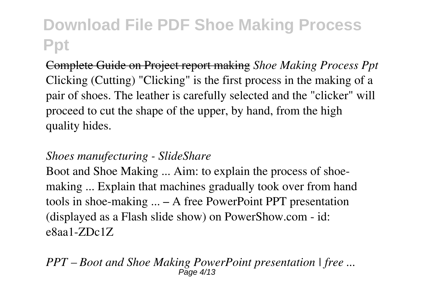Complete Guide on Project report making *Shoe Making Process Ppt* Clicking (Cutting) "Clicking" is the first process in the making of a pair of shoes. The leather is carefully selected and the "clicker" will proceed to cut the shape of the upper, by hand, from the high quality hides.

#### *Shoes manufecturing - SlideShare*

Boot and Shoe Making ... Aim: to explain the process of shoemaking ... Explain that machines gradually took over from hand tools in shoe-making ... – A free PowerPoint PPT presentation (displayed as a Flash slide show) on PowerShow.com - id: e8aa1-ZDc1Z

*PPT – Boot and Shoe Making PowerPoint presentation | free ...* Page 4/13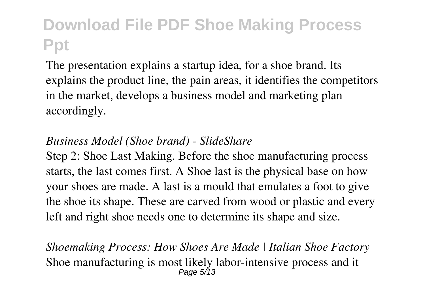The presentation explains a startup idea, for a shoe brand. Its explains the product line, the pain areas, it identifies the competitors in the market, develops a business model and marketing plan accordingly.

#### *Business Model (Shoe brand) - SlideShare*

Step 2: Shoe Last Making. Before the shoe manufacturing process starts, the last comes first. A Shoe last is the physical base on how your shoes are made. A last is a mould that emulates a foot to give the shoe its shape. These are carved from wood or plastic and every left and right shoe needs one to determine its shape and size.

*Shoemaking Process: How Shoes Are Made | Italian Shoe Factory* Shoe manufacturing is most likely labor-intensive process and it Page 5/13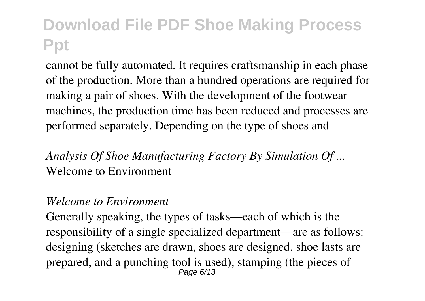cannot be fully automated. It requires craftsmanship in each phase of the production. More than a hundred operations are required for making a pair of shoes. With the development of the footwear machines, the production time has been reduced and processes are performed separately. Depending on the type of shoes and

*Analysis Of Shoe Manufacturing Factory By Simulation Of ...* Welcome to Environment

#### *Welcome to Environment*

Generally speaking, the types of tasks—each of which is the responsibility of a single specialized department—are as follows: designing (sketches are drawn, shoes are designed, shoe lasts are prepared, and a punching tool is used), stamping (the pieces of Page 6/13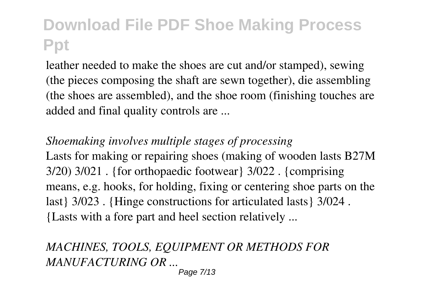leather needed to make the shoes are cut and/or stamped), sewing (the pieces composing the shaft are sewn together), die assembling (the shoes are assembled), and the shoe room (finishing touches are added and final quality controls are ...

*Shoemaking involves multiple stages of processing* Lasts for making or repairing shoes (making of wooden lasts B27M 3/20) 3/021 . {for orthopaedic footwear} 3/022 . {comprising means, e.g. hooks, for holding, fixing or centering shoe parts on the last} 3/023 . {Hinge constructions for articulated lasts} 3/024 . {Lasts with a fore part and heel section relatively ...

### *MACHINES, TOOLS, EQUIPMENT OR METHODS FOR MANUFACTURING OR ...*

Page 7/13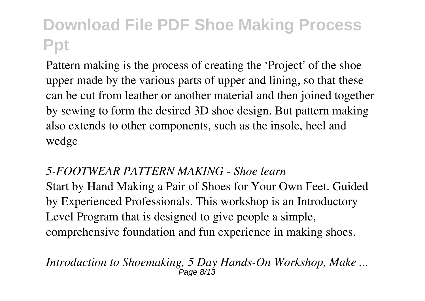Pattern making is the process of creating the 'Project' of the shoe upper made by the various parts of upper and lining, so that these can be cut from leather or another material and then joined together by sewing to form the desired 3D shoe design. But pattern making also extends to other components, such as the insole, heel and wedge

#### *5-FOOTWEAR PATTERN MAKING - Shoe learn*

Start by Hand Making a Pair of Shoes for Your Own Feet. Guided by Experienced Professionals. This workshop is an Introductory Level Program that is designed to give people a simple, comprehensive foundation and fun experience in making shoes.

#### *Introduction to Shoemaking, 5 Day Hands-On Workshop, Make ...*  $P$ ลตค  $R/13$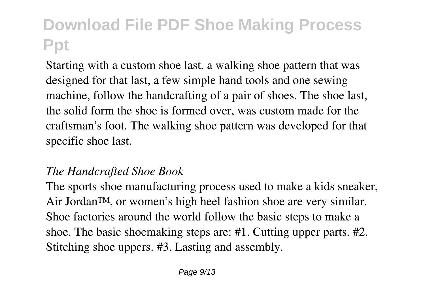Starting with a custom shoe last, a walking shoe pattern that was designed for that last, a few simple hand tools and one sewing machine, follow the handcrafting of a pair of shoes. The shoe last, the solid form the shoe is formed over, was custom made for the craftsman's foot. The walking shoe pattern was developed for that specific shoe last.

### *The Handcrafted Shoe Book*

The sports shoe manufacturing process used to make a kids sneaker, Air Jordan™, or women's high heel fashion shoe are very similar. Shoe factories around the world follow the basic steps to make a shoe. The basic shoemaking steps are: #1. Cutting upper parts. #2. Stitching shoe uppers. #3. Lasting and assembly.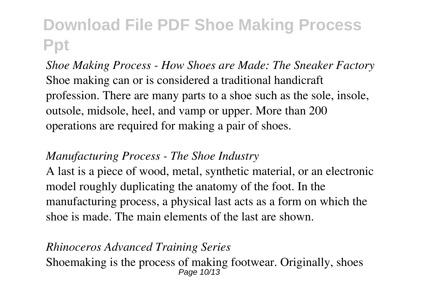*Shoe Making Process - How Shoes are Made: The Sneaker Factory* Shoe making can or is considered a traditional handicraft profession. There are many parts to a shoe such as the sole, insole, outsole, midsole, heel, and vamp or upper. More than 200 operations are required for making a pair of shoes.

### *Manufacturing Process - The Shoe Industry*

A last is a piece of wood, metal, synthetic material, or an electronic model roughly duplicating the anatomy of the foot. In the manufacturing process, a physical last acts as a form on which the shoe is made. The main elements of the last are shown.

#### *Rhinoceros Advanced Training Series* Shoemaking is the process of making footwear. Originally, shoes Page 10/13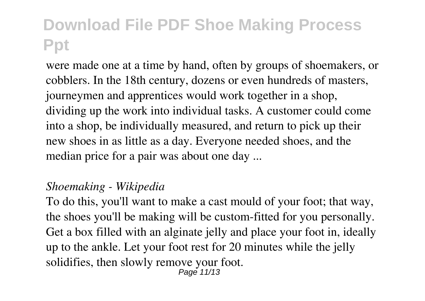were made one at a time by hand, often by groups of shoemakers, or cobblers. In the 18th century, dozens or even hundreds of masters, journeymen and apprentices would work together in a shop, dividing up the work into individual tasks. A customer could come into a shop, be individually measured, and return to pick up their new shoes in as little as a day. Everyone needed shoes, and the median price for a pair was about one day ...

#### *Shoemaking - Wikipedia*

To do this, you'll want to make a cast mould of your foot; that way, the shoes you'll be making will be custom-fitted for you personally. Get a box filled with an alginate jelly and place your foot in, ideally up to the ankle. Let your foot rest for 20 minutes while the jelly solidifies, then slowly remove your foot. Page 11/13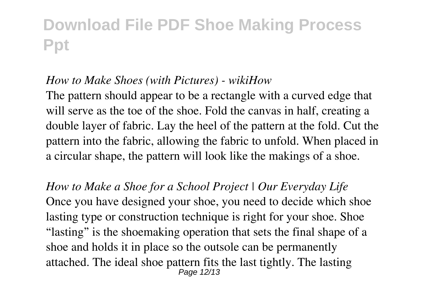#### *How to Make Shoes (with Pictures) - wikiHow*

The pattern should appear to be a rectangle with a curved edge that will serve as the toe of the shoe. Fold the canvas in half, creating a double layer of fabric. Lay the heel of the pattern at the fold. Cut the pattern into the fabric, allowing the fabric to unfold. When placed in a circular shape, the pattern will look like the makings of a shoe.

*How to Make a Shoe for a School Project | Our Everyday Life* Once you have designed your shoe, you need to decide which shoe lasting type or construction technique is right for your shoe. Shoe "lasting" is the shoemaking operation that sets the final shape of a shoe and holds it in place so the outsole can be permanently attached. The ideal shoe pattern fits the last tightly. The lasting Page 12/13